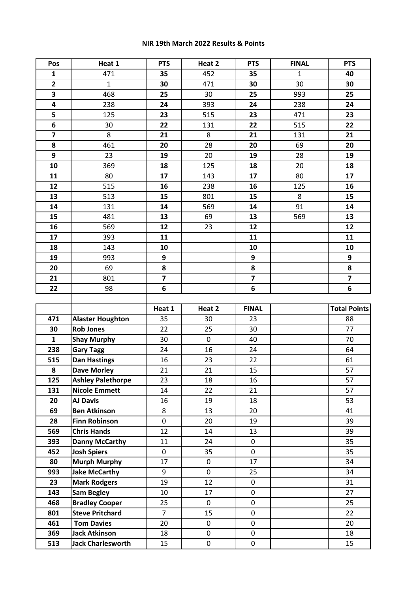## **NIR 19th March 2022 Results & Points**

| Pos                     | Heat 1                                           | <b>PTS</b>              | Heat 2      | <b>PTS</b>              | <b>FINAL</b> | <b>PTS</b>                |
|-------------------------|--------------------------------------------------|-------------------------|-------------|-------------------------|--------------|---------------------------|
| $\mathbf{1}$            | 471                                              | 35                      | 452         | 35                      | $\mathbf 1$  | 40                        |
| $\overline{\mathbf{2}}$ | $\mathbf{1}$                                     | 30                      | 471         | 30                      | 30           | 30                        |
| $\overline{\mathbf{3}}$ | 468                                              | 25                      | 30          | 25                      | 993          | 25                        |
| 4                       | 238                                              | 24                      | 393         | 24                      | 238          | 24                        |
| $\overline{\mathbf{5}}$ | 125                                              | 23                      | 515         | 23                      | 471          | 23                        |
| 6                       | 30                                               | 22                      | 131         | 22                      | 515          | 22                        |
| $\overline{\mathbf{z}}$ | 8                                                | 21                      | 8           | 21                      | 131          | 21                        |
| 8                       | 461                                              | 20                      | 28          | 20                      | 69           | 20                        |
| 9                       | 23                                               | 19                      | 20          | 19                      | 28           | 19                        |
| 10                      | 369                                              | 18                      | 125         | 18                      | 20           | 18                        |
| 11                      | 80                                               | 17                      | 143         | 17                      | 80           | 17                        |
| 12                      | 515                                              | 16                      | 238         | 16                      | 125          | 16                        |
| 13                      | 513                                              | 15                      | 801         | 15                      | 8            | 15                        |
| 14                      | 131                                              | 14                      | 569         | 14                      | 91           | 14                        |
| 15                      | 481                                              | 13                      | 69          | 13                      | 569          | 13                        |
| 16                      | 569                                              | 12                      | 23          | 12                      |              | 12                        |
| 17                      | 393                                              | 11                      |             | 11                      |              | 11                        |
| 18                      | 143                                              | 10                      |             | 10                      |              | 10                        |
| 19                      | 993                                              | 9                       |             | 9                       |              | 9                         |
| 20                      | 69                                               | 8                       |             | 8                       |              | 8                         |
| 21                      | 801                                              | $\overline{\mathbf{z}}$ |             | $\overline{\mathbf{z}}$ |              | $\overline{\mathbf{z}}$   |
| 22                      | 98                                               | 6                       |             | 6                       |              | 6                         |
|                         |                                                  |                         |             |                         |              |                           |
|                         |                                                  |                         |             |                         |              |                           |
|                         |                                                  | Heat 1                  | Heat 2      | <b>FINAL</b>            |              |                           |
| 471                     | <b>Alaster Houghton</b>                          | 35                      | 30          | 23                      |              | 88                        |
| 30                      | <b>Rob Jones</b>                                 | 22                      | 25          | 30                      |              | 77                        |
| $\mathbf{1}$            | <b>Shay Murphy</b>                               | 30                      | $\mathbf 0$ | 40                      |              | 70                        |
| 238                     | <b>Gary Tagg</b>                                 | 24                      | 16          | 24                      |              | 64                        |
| 515                     | <b>Dan Hastings</b>                              | 16                      | 23          | 22                      |              | 61                        |
| 8                       | <b>Dave Morley</b>                               | 21                      | 21          | 15                      |              | 57                        |
| 125                     | <b>Ashley Palethorpe</b>                         | 23                      | 18          | 16                      |              | 57                        |
| 131                     | <b>Nicole Emmett</b>                             | 14                      | 22          | 21                      |              | 57                        |
| 20                      | <b>AJ Davis</b>                                  | 16                      | 19          | 18                      |              | <b>Total Points</b><br>53 |
| 69                      | <b>Ben Atkinson</b>                              | 8                       | 13          | 20                      |              | 41                        |
| 28                      | <b>Finn Robinson</b>                             | 0                       | 20          | 19                      |              | 39                        |
| 569                     | <b>Chris Hands</b>                               | 12                      | 14          | 13                      |              | 39                        |
| 393                     | <b>Danny McCarthy</b>                            | 11                      | 24          | $\mathbf 0$             |              | 35                        |
| 452                     | <b>Josh Spiers</b>                               | 0                       | 35          | 0                       |              | 35                        |
| 80                      | <b>Murph Murphy</b>                              | 17                      | 0           | 17                      |              | 34                        |
| 993                     | <b>Jake McCarthy</b>                             | 9                       | 0           | 25                      |              | 34                        |
| 23                      | <b>Mark Rodgers</b>                              | 19                      | 12          | 0                       |              | 31                        |
| 143                     | <b>Sam Begley</b>                                | 10                      | 17          | 0                       |              | 27                        |
| 468                     | <b>Bradley Cooper</b>                            | 25                      | $\mathbf 0$ | 0                       |              | 25                        |
| 801                     | <b>Steve Pritchard</b>                           | $\overline{7}$          | 15          | 0                       |              | 22                        |
| 461                     | <b>Tom Davies</b>                                | 20                      | 0           | $\mathbf 0$             |              | 20                        |
| 369                     | <b>Jack Atkinson</b><br><b>Jack Charlesworth</b> | 18                      | 0           | $\mathbf 0$             |              | 18                        |